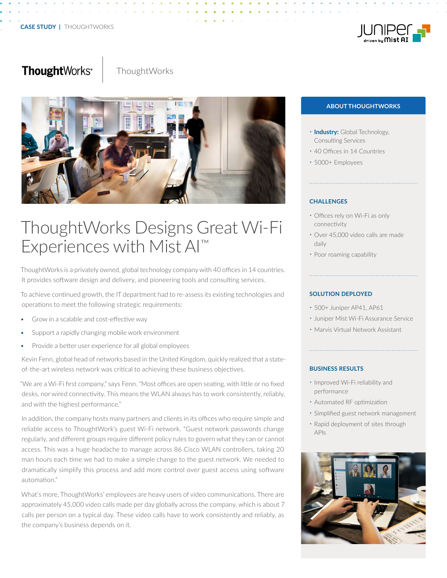

# ThoughtWorks<sup>®</sup>

**ThoughtWorks** 



# ThoughtWorks Designs Great Wi-Fi Experiences with Mist AI™

ThoughtWorks is a privately owned, global technology company with 40 offices in 14 countries. It provides software design and delivery, and pioneering tools and consulting services.

To achieve continued growth, the IT department had to re-assess its existing technologies and operations to meet the following strategic requirements:

- Grow in a scalable and cost-effective way
- Support a rapidly changing mobile work environment
- Provide a better user experience for all global employees

Kevin Fenn, global head of networks based in the United Kingdom, quickly realized that a stateof-the-art wireless network was critical to achieving these business objectives.

"We are a Wi-Fi first company," says Fenn. "Most offices are open seating, with little or no fixed desks, nor wired connectivity. This means the WLAN always has to work consistently, reliably, and with the highest performance."

In addition, the company hosts many partners and clients in its offices who require simple and reliable access to ThoughtWork's guest Wi-Fi network. "Guest network passwords change regularly, and different groups require different policy rules to govern what they can or cannot access. This was a huge headache to manage across 86 Cisco WLAN controllers, taking 20 man hours each time we had to make a simple change to the guest network. We needed to dramatically simplify this process and add more control over guest access using software automation."

What's more, ThoughtWorks' employees are heavy users of video communications. There are approximately 45,000 video calls made per day globally across the company, which is about 7 calls per person on a typical day. These video calls have to work consistently and reliably, as the company's business depends on it.

#### **ABOUT THOUGHTWORKS**

- **Industry:** Global Technology, Consulting Services
- 40 Offices in 14 Countries
- 5000+ Employees

## **CHALLENGES**

- Offices rely on Wi-Fi as only connectivity
- Over 45,000 video calls are made daily
- Poor roaming capability

## **SOLUTION DEPLOYED**

- 500+ Juniper AP41, AP61
- Juniper Mist Wi-Fi Assurance Service
- Marvis Virtual Network Assistant

#### **BUSINESS RESULTS**

- Improved Wi-Fi reliability and performance
- Automated RF optimization
- Simplified guest network management
- Rapid deployment of sites through APIs